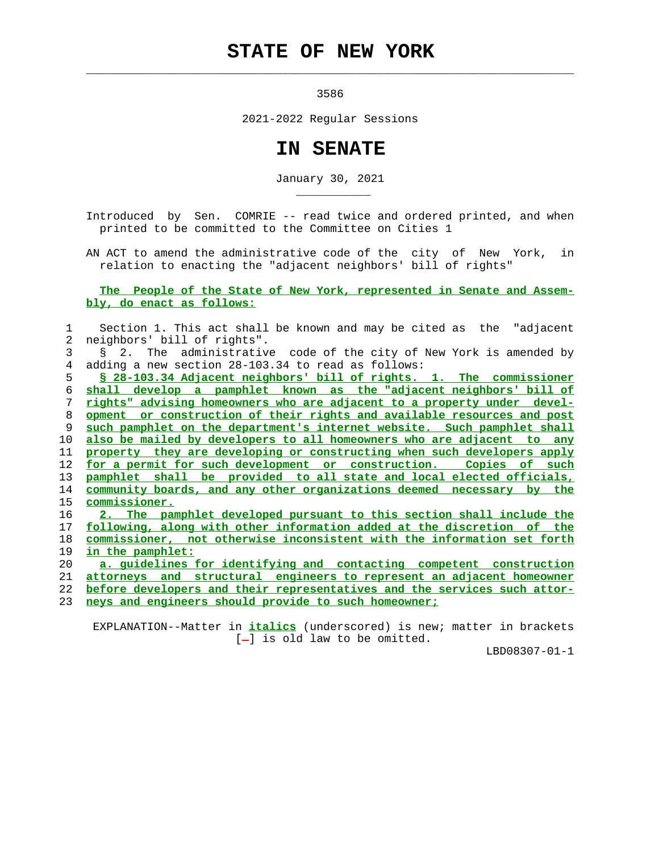## **STATE OF NEW YORK**

 $\mathcal{L}_\text{max} = \frac{1}{2} \sum_{i=1}^{n} \frac{1}{2} \sum_{i=1}^{n} \frac{1}{2} \sum_{i=1}^{n} \frac{1}{2} \sum_{i=1}^{n} \frac{1}{2} \sum_{i=1}^{n} \frac{1}{2} \sum_{i=1}^{n} \frac{1}{2} \sum_{i=1}^{n} \frac{1}{2} \sum_{i=1}^{n} \frac{1}{2} \sum_{i=1}^{n} \frac{1}{2} \sum_{i=1}^{n} \frac{1}{2} \sum_{i=1}^{n} \frac{1}{2} \sum_{i=1}^{n} \frac{1$ 

\_\_\_\_\_\_\_\_\_\_\_

3586

2021-2022 Regular Sessions

## **IN SENATE**

January 30, 2021

 Introduced by Sen. COMRIE -- read twice and ordered printed, and when printed to be committed to the Committee on Cities 1

 AN ACT to amend the administrative code of the city of New York, in relation to enacting the "adjacent neighbors' bill of rights"

 **The People of the State of New York, represented in Senate and Assem bly, do enact as follows:**

|    | Section 1. This act shall be known and may be cited as the "adjacent     |
|----|--------------------------------------------------------------------------|
| 2  | neighbors' bill of rights".                                              |
| 3  | § 2. The administrative code of the city of New York is amended by       |
| 4  | adding a new section 28-103.34 to read as follows:                       |
| 5  | \$ 28-103.34 Adjacent neighbors' bill of rights. 1. The commissioner     |
| 6  | shall develop a pamphlet known as the "adjacent neighbors' bill of       |
| 7  | rights" advising homeowners who are adjacent to a property under devel-  |
| 8  | opment or construction of their rights and available resources and post  |
| 9  | such pamphlet on the department's internet website. Such pamphlet shall  |
| 10 | also be mailed by developers to all homeowners who are adjacent to any   |
| 11 | property they are developing or constructing when such developers apply  |
| 12 | for a permit for such development or construction. Copies of such        |
| 13 | pamphlet shall be provided to all state and local elected officials,     |
| 14 | community boards, and any other organizations deemed necessary by the    |
| 15 | commissioner.                                                            |
| 16 | The pamphlet developed pursuant to this section shall include the        |
| 17 | following, along with other information added at the discretion of the   |
| 18 | commissioner, not otherwise inconsistent with the information set forth  |
| 19 | in the pamphlet:                                                         |
| 20 | a. quidelines for identifying and contacting competent construction      |
| 21 | attorneys and structural engineers to represent an adjacent homeowner    |
| 22 | before developers and their representatives and the services such attor- |

23 **neys and engineers should provide to such homeowner;**

 EXPLANATION--Matter in **italics** (underscored) is new; matter in brackets  $[-]$  is old law to be omitted.

LBD08307-01-1